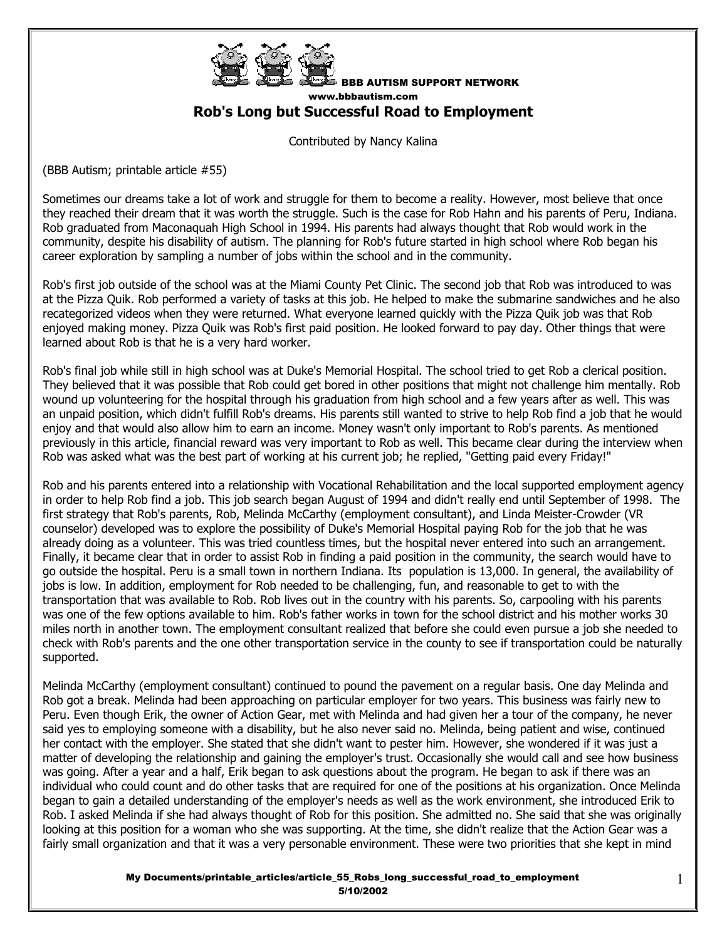

BBB AUTISM SUPPORT NETWORK www.bbbautism.com **Rob's Long but Successful Road to Employment**

Contributed by Nancy Kalina

(BBB Autism; printable article #55)

Sometimes our dreams take a lot of work and struggle for them to become a reality. However, most believe that once they reached their dream that it was worth the struggle. Such is the case for Rob Hahn and his parents of Peru, Indiana. Rob graduated from Maconaquah High School in 1994. His parents had always thought that Rob would work in the community, despite his disability of autism. The planning for Rob's future started in high school where Rob began his career exploration by sampling a number of jobs within the school and in the community.

Rob's first job outside of the school was at the Miami County Pet Clinic. The second job that Rob was introduced to was at the Pizza Quik. Rob performed a variety of tasks at this job. He helped to make the submarine sandwiches and he also recategorized videos when they were returned. What everyone learned quickly with the Pizza Quik job was that Rob enjoyed making money. Pizza Quik was Rob's first paid position. He looked forward to pay day. Other things that were learned about Rob is that he is a very hard worker.

Rob's final job while still in high school was at Duke's Memorial Hospital. The school tried to get Rob a clerical position. They believed that it was possible that Rob could get bored in other positions that might not challenge him mentally. Rob wound up volunteering for the hospital through his graduation from high school and a few years after as well. This was an unpaid position, which didn't fulfill Rob's dreams. His parents still wanted to strive to help Rob find a job that he would enjoy and that would also allow him to earn an income. Money wasn't only important to Rob's parents. As mentioned previously in this article, financial reward was very important to Rob as well. This became clear during the interview when Rob was asked what was the best part of working at his current job; he replied, "Getting paid every Friday!"

Rob and his parents entered into a relationship with Vocational Rehabilitation and the local supported employment agency in order to help Rob find a job. This job search began August of 1994 and didn't really end until September of 1998. The first strategy that Rob's parents, Rob, Melinda McCarthy (employment consultant), and Linda Meister-Crowder (VR counselor) developed was to explore the possibility of Duke's Memorial Hospital paying Rob for the job that he was already doing as a volunteer. This was tried countless times, but the hospital never entered into such an arrangement. Finally, it became clear that in order to assist Rob in finding a paid position in the community, the search would have to go outside the hospital. Peru is a small town in northern Indiana. Its population is 13,000. In general, the availability of jobs is low. In addition, employment for Rob needed to be challenging, fun, and reasonable to get to with the transportation that was available to Rob. Rob lives out in the country with his parents. So, carpooling with his parents was one of the few options available to him. Rob's father works in town for the school district and his mother works 30 miles north in another town. The employment consultant realized that before she could even pursue a job she needed to check with Rob's parents and the one other transportation service in the county to see if transportation could be naturally supported.

Melinda McCarthy (employment consultant) continued to pound the pavement on a regular basis. One day Melinda and Rob got a break. Melinda had been approaching on particular employer for two years. This business was fairly new to Peru. Even though Erik, the owner of Action Gear, met with Melinda and had given her a tour of the company, he never said yes to employing someone with a disability, but he also never said no. Melinda, being patient and wise, continued her contact with the employer. She stated that she didn't want to pester him. However, she wondered if it was just a matter of developing the relationship and gaining the employer's trust. Occasionally she would call and see how business was going. After a year and a half, Erik began to ask questions about the program. He began to ask if there was an individual who could count and do other tasks that are required for one of the positions at his organization. Once Melinda began to gain a detailed understanding of the employer's needs as well as the work environment, she introduced Erik to Rob. I asked Melinda if she had always thought of Rob for this position. She admitted no. She said that she was originally looking at this position for a woman who she was supporting. At the time, she didn't realize that the Action Gear was a fairly small organization and that it was a very personable environment. These were two priorities that she kept in mind

> My Documents/printable\_articles/article\_55\_Robs\_long\_successful\_road\_to\_employment 5/10/2002